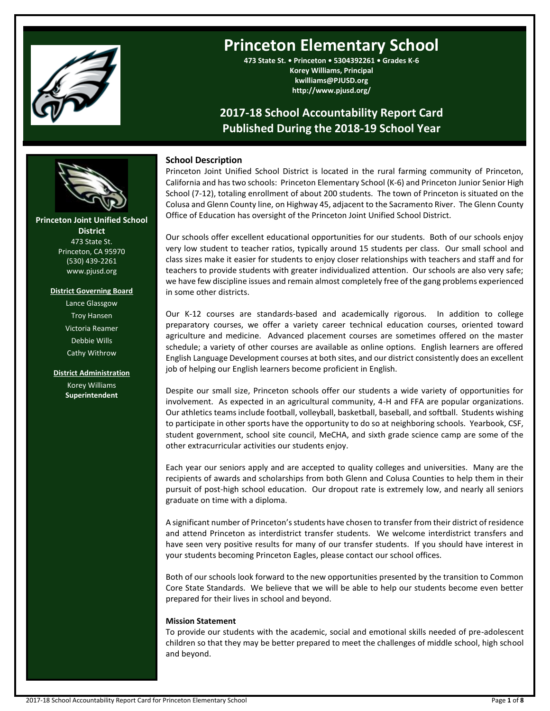

# **Princeton Elementary School**

**473 State St. • Princeton • 5304392261 • Grades K-6 Korey Williams, Principal kwilliams@PJUSD.org http://www.pjusd.org/**

# **2017-18 School Accountability Report Card Published During the 2018-19 School Year**

# **School Description**

Princeton Joint Unified School District is located in the rural farming community of Princeton, California and has two schools: Princeton Elementary School (K-6) and Princeton Junior Senior High School (7-12), totaling enrollment of about 200 students. The town of Princeton is situated on the Colusa and Glenn County line, on Highway 45, adjacent to the Sacramento River. The Glenn County Office of Education has oversight of the Princeton Joint Unified School District.

Our schools offer excellent educational opportunities for our students. Both of our schools enjoy very low student to teacher ratios, typically around 15 students per class. Our small school and class sizes make it easier for students to enjoy closer relationships with teachers and staff and for teachers to provide students with greater individualized attention. Our schools are also very safe; we have few discipline issues and remain almost completely free of the gang problems experienced in some other districts.

Our K-12 courses are standards-based and academically rigorous. In addition to college preparatory courses, we offer a variety career technical education courses, oriented toward agriculture and medicine. Advanced placement courses are sometimes offered on the master schedule; a variety of other courses are available as online options. English learners are offered English Language Development courses at both sites, and our district consistently does an excellent job of helping our English learners become proficient in English.

Despite our small size, Princeton schools offer our students a wide variety of opportunities for involvement. As expected in an agricultural community, 4-H and FFA are popular organizations. Our athletics teams include football, volleyball, basketball, baseball, and softball. Students wishing to participate in other sports have the opportunity to do so at neighboring schools. Yearbook, CSF, student government, school site council, MeCHA, and sixth grade science camp are some of the other extracurricular activities our students enjoy.

Each year our seniors apply and are accepted to quality colleges and universities. Many are the recipients of awards and scholarships from both Glenn and Colusa Counties to help them in their pursuit of post-high school education. Our dropout rate is extremely low, and nearly all seniors graduate on time with a diploma.

A significant number of Princeton's students have chosen to transfer from their district of residence and attend Princeton as interdistrict transfer students. We welcome interdistrict transfers and have seen very positive results for many of our transfer students. If you should have interest in your students becoming Princeton Eagles, please contact our school offices.

Both of our schools look forward to the new opportunities presented by the transition to Common Core State Standards. We believe that we will be able to help our students become even better prepared for their lives in school and beyond.

#### **Mission Statement**

To provide our students with the academic, social and emotional skills needed of pre-adolescent children so that they may be better prepared to meet the challenges of middle school, high school and beyond.

**Princeton Joint Unified School District** 473 State St. Princeton, CA 95970 (530) 439-2261 www.pjusd.org

**---- ----**

### **District Governing Board**

Lance Glassgow Troy Hansen Victoria Reamer Debbie Wills Cathy Withrow

**District Administration** Korey Williams **Superintendent**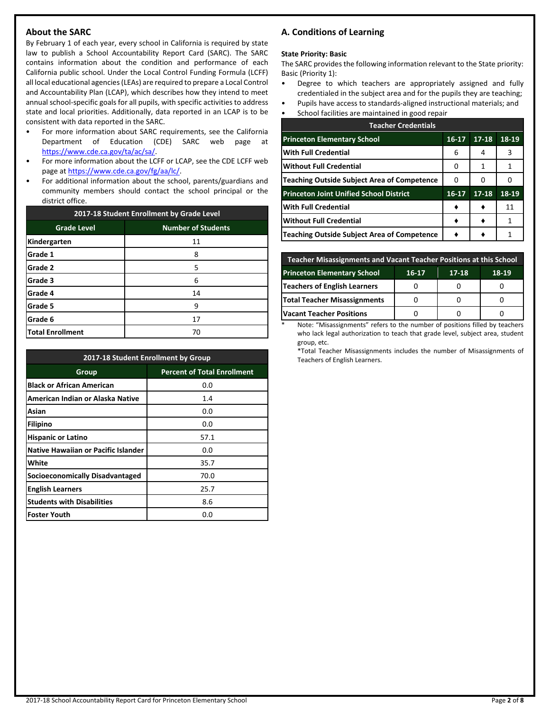# **About the SARC**

By February 1 of each year, every school in California is required by state law to publish a School Accountability Report Card (SARC). The SARC contains information about the condition and performance of each California public school. Under the Local Control Funding Formula (LCFF) all local educational agencies (LEAs) are required to prepare a Local Control and Accountability Plan (LCAP), which describes how they intend to meet annual school-specific goals for all pupils, with specific activities to address state and local priorities. Additionally, data reported in an LCAP is to be consistent with data reported in the SARC.

- For more information about SARC requirements, see the California Department of Education (CDE) SARC web page at [https://www.cde.ca.gov/ta/ac/sa/.](https://www.cde.ca.gov/ta/ac/sa/)
- For more information about the LCFF or LCAP, see the CDE LCFF web page at [https://www.cde.ca.gov/fg/aa/lc/.](https://www.cde.ca.gov/fg/aa/lc/)
- For additional information about the school, parents/guardians and community members should contact the school principal or the district office.

| 2017-18 Student Enrollment by Grade Level |                           |  |  |
|-------------------------------------------|---------------------------|--|--|
| <b>Grade Level</b>                        | <b>Number of Students</b> |  |  |
| Kindergarten                              | 11                        |  |  |
| Grade 1                                   | 8                         |  |  |
| Grade 2                                   | 5                         |  |  |
| Grade 3                                   | 6                         |  |  |
| Grade 4                                   | 14                        |  |  |
| Grade 5                                   | 9                         |  |  |
| Grade 6                                   | 17                        |  |  |
| <b>Total Enrollment</b>                   | 70                        |  |  |

| 2017-18 Student Enrollment by Group        |                                    |  |  |  |
|--------------------------------------------|------------------------------------|--|--|--|
| Group                                      | <b>Percent of Total Enrollment</b> |  |  |  |
| <b>Black or African American</b>           | 0.0                                |  |  |  |
| American Indian or Alaska Native           | 1.4                                |  |  |  |
| Asian                                      | 0.0                                |  |  |  |
| Filipino                                   | 0.0                                |  |  |  |
| <b>Hispanic or Latino</b>                  | 57.1                               |  |  |  |
| <b>Native Hawaiian or Pacific Islander</b> | 0.0                                |  |  |  |
| White                                      | 35.7                               |  |  |  |
| <b>Socioeconomically Disadvantaged</b>     | 70.0                               |  |  |  |
| <b>English Learners</b>                    | 25.7                               |  |  |  |
| <b>Students with Disabilities</b>          | 8.6                                |  |  |  |
| <b>Foster Youth</b>                        | 0.0                                |  |  |  |

# **A. Conditions of Learning**

#### **State Priority: Basic**

The SARC provides the following information relevant to the State priority: Basic (Priority 1):

- Degree to which teachers are appropriately assigned and fully credentialed in the subject area and for the pupils they are teaching;
- Pupils have access to standards-aligned instructional materials; and
- School facilities are maintained in good repair

| <b>Teacher Credentials</b>                         |           |           |       |  |  |
|----------------------------------------------------|-----------|-----------|-------|--|--|
| <b>Princeton Elementary School</b>                 | $16 - 17$ | $17 - 18$ | 18-19 |  |  |
| <b>With Full Credential</b>                        | 6         | 4         | 3     |  |  |
| <b>Without Full Credential</b>                     |           | 1         | 1     |  |  |
| <b>Teaching Outside Subject Area of Competence</b> | O         | 0         |       |  |  |
| <b>Princeton Joint Unified School District</b>     | 16-17     | $17 - 18$ | 18-19 |  |  |
| <b>With Full Credential</b>                        |           |           | 11    |  |  |
| <b>Without Full Credential</b>                     |           |           | 1     |  |  |
| <b>Teaching Outside Subject Area of Competence</b> |           |           |       |  |  |

| <b>Teacher Misassignments and Vacant Teacher Positions at this School</b> |  |  |  |  |  |  |
|---------------------------------------------------------------------------|--|--|--|--|--|--|
| <b>Princeton Elementary School</b><br>18-19<br>17-18<br>16-17             |  |  |  |  |  |  |
| Teachers of English Learners                                              |  |  |  |  |  |  |
| <b>Total Teacher Misassignments</b>                                       |  |  |  |  |  |  |
| <b>Vacant Teacher Positions</b>                                           |  |  |  |  |  |  |

Note: "Misassignments" refers to the number of positions filled by teachers who lack legal authorization to teach that grade level, subject area, student group, etc.

\*Total Teacher Misassignments includes the number of Misassignments of Teachers of English Learners.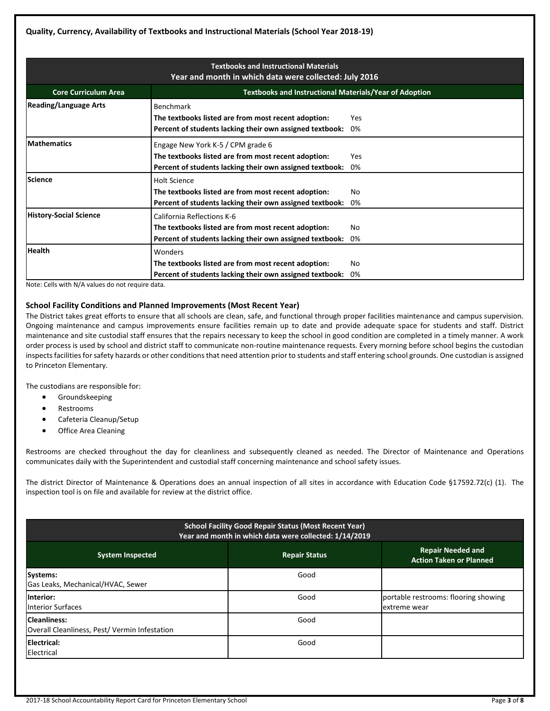| <b>Textbooks and Instructional Materials</b><br>Year and month in which data were collected: July 2016 |                                                                                                                                                      |           |  |  |
|--------------------------------------------------------------------------------------------------------|------------------------------------------------------------------------------------------------------------------------------------------------------|-----------|--|--|
| <b>Core Curriculum Area</b>                                                                            | <b>Textbooks and Instructional Materials/Year of Adoption</b>                                                                                        |           |  |  |
| <b>Reading/Language Arts</b>                                                                           | Benchmark<br>The textbooks listed are from most recent adoption:<br>Percent of students lacking their own assigned textbook:                         | Yes<br>0% |  |  |
| <b>Mathematics</b>                                                                                     | Engage New York K-5 / CPM grade 6<br>The textbooks listed are from most recent adoption:<br>Percent of students lacking their own assigned textbook: | Yes<br>0% |  |  |
| <b>Science</b>                                                                                         | <b>Holt Science</b><br>The textbooks listed are from most recent adoption:<br>Percent of students lacking their own assigned textbook:               | Nο<br>0%  |  |  |
| <b>History-Social Science</b>                                                                          | California Reflections K-6<br>The textbooks listed are from most recent adoption:<br>Percent of students lacking their own assigned textbook:        | Nο<br>0%  |  |  |
| <b>Health</b>                                                                                          | Wonders<br>The textbooks listed are from most recent adoption:<br>Percent of students lacking their own assigned textbook:                           | Nο<br>0%  |  |  |

Note: Cells with N/A values do not require data.

#### **School Facility Conditions and Planned Improvements (Most Recent Year)**

The District takes great efforts to ensure that all schools are clean, safe, and functional through proper facilities maintenance and campus supervision. Ongoing maintenance and campus improvements ensure facilities remain up to date and provide adequate space for students and staff. District maintenance and site custodial staff ensures that the repairs necessary to keep the school in good condition are completed in a timely manner. A work order process is used by school and district staff to communicate non-routine maintenance requests. Every morning before school begins the custodian inspects facilities for safety hazards or other conditions that need attention prior to students and staff entering school grounds. One custodian is assigned to Princeton Elementary.

The custodians are responsible for:

- Groundskeeping
- Restrooms
- Cafeteria Cleanup/Setup
- Office Area Cleaning

Restrooms are checked throughout the day for cleanliness and subsequently cleaned as needed. The Director of Maintenance and Operations communicates daily with the Superintendent and custodial staff concerning maintenance and school safety issues.

The district Director of Maintenance & Operations does an annual inspection of all sites in accordance with Education Code §17592.72(c) (1). The inspection tool is on file and available for review at the district office.

| <b>School Facility Good Repair Status (Most Recent Year)</b><br>Year and month in which data were collected: 1/14/2019 |                      |                                                            |  |  |  |
|------------------------------------------------------------------------------------------------------------------------|----------------------|------------------------------------------------------------|--|--|--|
| <b>System Inspected</b>                                                                                                | <b>Repair Status</b> | <b>Repair Needed and</b><br><b>Action Taken or Planned</b> |  |  |  |
| Systems:<br>Gas Leaks, Mechanical/HVAC, Sewer                                                                          | Good                 |                                                            |  |  |  |
| Interior:<br><b>Interior Surfaces</b>                                                                                  | Good                 | portable restrooms: flooring showing<br>extreme wear       |  |  |  |
| <b>Cleanliness:</b><br>Overall Cleanliness, Pest/Vermin Infestation                                                    | Good                 |                                                            |  |  |  |
| Electrical:<br>Electrical                                                                                              | Good                 |                                                            |  |  |  |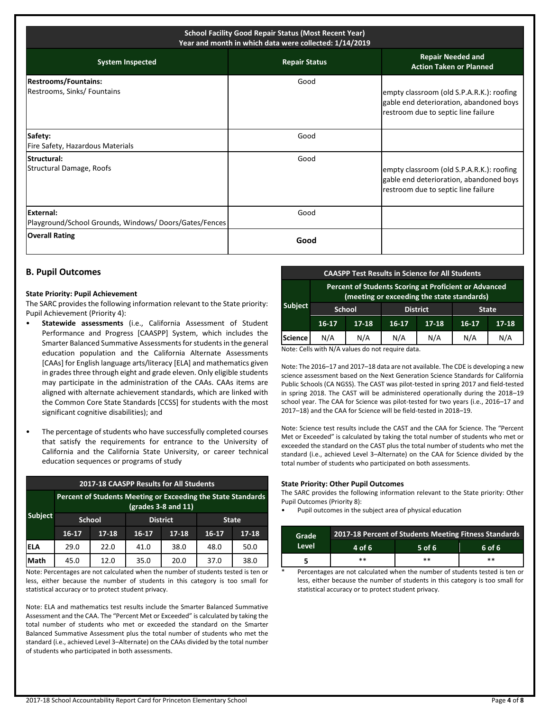| <b>School Facility Good Repair Status (Most Recent Year)</b><br>Year and month in which data were collected: 1/14/2019 |                      |                                                                                                                             |  |  |
|------------------------------------------------------------------------------------------------------------------------|----------------------|-----------------------------------------------------------------------------------------------------------------------------|--|--|
| <b>System Inspected</b>                                                                                                | <b>Repair Status</b> | <b>Repair Needed and</b><br><b>Action Taken or Planned</b>                                                                  |  |  |
| <b>Restrooms/Fountains:</b><br>Restrooms, Sinks/ Fountains                                                             | Good                 | empty classroom (old S.P.A.R.K.): roofing<br>gable end deterioration, abandoned boys<br>restroom due to septic line failure |  |  |
| Safety:<br>Fire Safety, Hazardous Materials                                                                            | Good                 |                                                                                                                             |  |  |
| <b>Structural:</b><br>Structural Damage, Roofs                                                                         | Good                 | empty classroom (old S.P.A.R.K.): roofing<br>gable end deterioration, abandoned boys<br>restroom due to septic line failure |  |  |
| <b>External:</b><br>Playground/School Grounds, Windows/ Doors/Gates/Fences                                             | Good                 |                                                                                                                             |  |  |
| <b>Overall Rating</b>                                                                                                  | Good                 |                                                                                                                             |  |  |

### **B. Pupil Outcomes**

#### **State Priority: Pupil Achievement**

The SARC provides the following information relevant to the State priority: Pupil Achievement (Priority 4):

- **Statewide assessments** (i.e., California Assessment of Student Performance and Progress [CAASPP] System, which includes the Smarter Balanced Summative Assessments for students in the general education population and the California Alternate Assessments [CAAs] for English language arts/literacy [ELA] and mathematics given in grades three through eight and grade eleven. Only eligible students may participate in the administration of the CAAs. CAAs items are aligned with alternate achievement standards, which are linked with the Common Core State Standards [CCSS] for students with the most significant cognitive disabilities); and
- The percentage of students who have successfully completed courses that satisfy the requirements for entrance to the University of California and the California State University, or career technical education sequences or programs of study

| 2017-18 CAASPP Results for All Students |                                                                                       |                                  |         |              |         |           |
|-----------------------------------------|---------------------------------------------------------------------------------------|----------------------------------|---------|--------------|---------|-----------|
|                                         | Percent of Students Meeting or Exceeding the State Standards<br>$(grades 3-8 and 11)$ |                                  |         |              |         |           |
| <b>Subject</b>                          |                                                                                       | <b>District</b><br><b>School</b> |         | <b>State</b> |         |           |
|                                         | 16-17                                                                                 | $17 - 18$                        | $16-17$ | $17 - 18$    | $16-17$ | $17 - 18$ |
| lela                                    | 29.0                                                                                  | 22.0                             | 41.0    | 38.0         | 48.0    | 50.0      |
| Math                                    | 45.0                                                                                  | 12.0                             | 35.0    | 20.0         | 37.0    | 38.0      |

Note: Percentages are not calculated when the number of students tested is ten or less, either because the number of students in this category is too small for statistical accuracy or to protect student privacy.

Note: ELA and mathematics test results include the Smarter Balanced Summative Assessment and the CAA. The "Percent Met or Exceeded" is calculated by taking the total number of students who met or exceeded the standard on the Smarter Balanced Summative Assessment plus the total number of students who met the standard (i.e., achieved Level 3–Alternate) on the CAAs divided by the total number of students who participated in both assessments.

| <b>CAASPP Test Results in Science for All Students</b> |                                                                                                     |               |           |                 |              |           |
|--------------------------------------------------------|-----------------------------------------------------------------------------------------------------|---------------|-----------|-----------------|--------------|-----------|
|                                                        | Percent of Students Scoring at Proficient or Advanced<br>(meeting or exceeding the state standards) |               |           |                 |              |           |
| <b>Subject</b>                                         |                                                                                                     | <b>School</b> |           | <b>District</b> | <b>State</b> |           |
|                                                        | $16 - 17$                                                                                           | $17 - 18$     | $16 - 17$ | $17 - 18$       | $16-17$      | $17 - 18$ |
| <b>Science</b>                                         | N/A                                                                                                 | N/A           | N/A       | N/A             | N/A          | N/A       |
| $\cdots$ $\cdots$<br>.<br>.<br>.                       |                                                                                                     |               |           |                 |              |           |

Note: Cells with N/A values do not require data.

Note: The 2016–17 and 2017–18 data are not available. The CDE is developing a new science assessment based on the Next Generation Science Standards for California Public Schools (CA NGSS). The CAST was pilot-tested in spring 2017 and field-tested in spring 2018. The CAST will be administered operationally during the 2018–19 school year. The CAA for Science was pilot-tested for two years (i.e., 2016–17 and 2017–18) and the CAA for Science will be field-tested in 2018–19.

Note: Science test results include the CAST and the CAA for Science. The "Percent Met or Exceeded" is calculated by taking the total number of students who met or exceeded the standard on the CAST plus the total number of students who met the standard (i.e., achieved Level 3–Alternate) on the CAA for Science divided by the total number of students who participated on both assessments.

#### **State Priority: Other Pupil Outcomes**

The SARC provides the following information relevant to the State priority: Other Pupil Outcomes (Priority 8):

• Pupil outcomes in the subject area of physical education

| Grade           | 2017-18 Percent of Students Meeting Fitness Standards |        |  |  |  |  |
|-----------------|-------------------------------------------------------|--------|--|--|--|--|
| Level<br>4 of 6 | $5$ of 6                                              | 6 of 6 |  |  |  |  |
| **              | **                                                    | $**$   |  |  |  |  |

Percentages are not calculated when the number of students tested is ten or less, either because the number of students in this category is too small for statistical accuracy or to protect student privacy.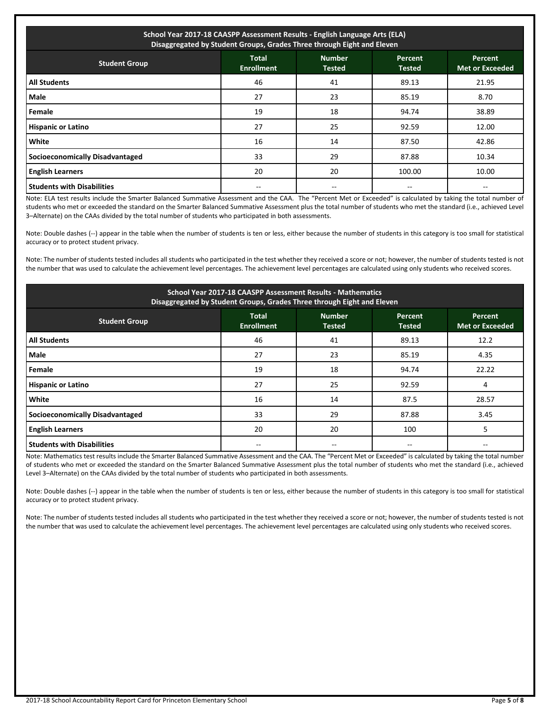| School Year 2017-18 CAASPP Assessment Results - English Language Arts (ELA)<br>Disaggregated by Student Groups, Grades Three through Eight and Eleven |                                   |                                |                                 |                                          |  |
|-------------------------------------------------------------------------------------------------------------------------------------------------------|-----------------------------------|--------------------------------|---------------------------------|------------------------------------------|--|
| <b>Student Group</b>                                                                                                                                  | <b>Total</b><br><b>Enrollment</b> | <b>Number</b><br><b>Tested</b> | <b>Percent</b><br><b>Tested</b> | <b>Percent</b><br><b>Met or Exceeded</b> |  |
| <b>All Students</b>                                                                                                                                   | 46                                | 41                             | 89.13                           | 21.95                                    |  |
| Male                                                                                                                                                  | 27                                | 23                             | 85.19                           | 8.70                                     |  |
| Female                                                                                                                                                | 19                                | 18                             | 94.74                           | 38.89                                    |  |
| <b>Hispanic or Latino</b>                                                                                                                             | 27                                | 25                             | 92.59                           | 12.00                                    |  |
| <b>White</b>                                                                                                                                          | 16                                | 14                             | 87.50                           | 42.86                                    |  |
| <b>Socioeconomically Disadvantaged</b>                                                                                                                | 33                                | 29                             | 87.88                           | 10.34                                    |  |
| <b>English Learners</b>                                                                                                                               | 20                                | 20                             | 100.00                          | 10.00                                    |  |
| <b>Students with Disabilities</b>                                                                                                                     |                                   |                                |                                 |                                          |  |

Note: ELA test results include the Smarter Balanced Summative Assessment and the CAA. The "Percent Met or Exceeded" is calculated by taking the total number of students who met or exceeded the standard on the Smarter Balanced Summative Assessment plus the total number of students who met the standard (i.e., achieved Level 3–Alternate) on the CAAs divided by the total number of students who participated in both assessments.

Note: Double dashes (--) appear in the table when the number of students is ten or less, either because the number of students in this category is too small for statistical accuracy or to protect student privacy.

Note: The number of students tested includes all students who participated in the test whether they received a score or not; however, the number of students tested is not the number that was used to calculate the achievement level percentages. The achievement level percentages are calculated using only students who received scores.

| School Year 2017-18 CAASPP Assessment Results - Mathematics<br>Disaggregated by Student Groups, Grades Three through Eight and Eleven |                                   |                                |                          |                                   |  |
|---------------------------------------------------------------------------------------------------------------------------------------|-----------------------------------|--------------------------------|--------------------------|-----------------------------------|--|
| <b>Student Group</b>                                                                                                                  | <b>Total</b><br><b>Enrollment</b> | <b>Number</b><br><b>Tested</b> | Percent<br><b>Tested</b> | Percent<br><b>Met or Exceeded</b> |  |
| <b>All Students</b>                                                                                                                   | 46                                | 41                             | 89.13                    | 12.2                              |  |
| Male                                                                                                                                  | 27                                | 23                             | 85.19                    | 4.35                              |  |
| Female                                                                                                                                | 19                                | 18                             | 94.74                    | 22.22                             |  |
| <b>Hispanic or Latino</b>                                                                                                             | 27                                | 25                             | 92.59                    | 4                                 |  |
| White                                                                                                                                 | 16                                | 14                             | 87.5                     | 28.57                             |  |
| <b>Socioeconomically Disadvantaged</b>                                                                                                | 33                                | 29                             | 87.88                    | 3.45                              |  |
| <b>English Learners</b>                                                                                                               | 20                                | 20                             | 100                      | 5                                 |  |
| <b>Students with Disabilities</b>                                                                                                     |                                   |                                |                          |                                   |  |

Note: Mathematics test results include the Smarter Balanced Summative Assessment and the CAA. The "Percent Met or Exceeded" is calculated by taking the total number of students who met or exceeded the standard on the Smarter Balanced Summative Assessment plus the total number of students who met the standard (i.e., achieved Level 3–Alternate) on the CAAs divided by the total number of students who participated in both assessments.

Note: Double dashes (--) appear in the table when the number of students is ten or less, either because the number of students in this category is too small for statistical accuracy or to protect student privacy.

Note: The number of students tested includes all students who participated in the test whether they received a score or not; however, the number of students tested is not the number that was used to calculate the achievement level percentages. The achievement level percentages are calculated using only students who received scores.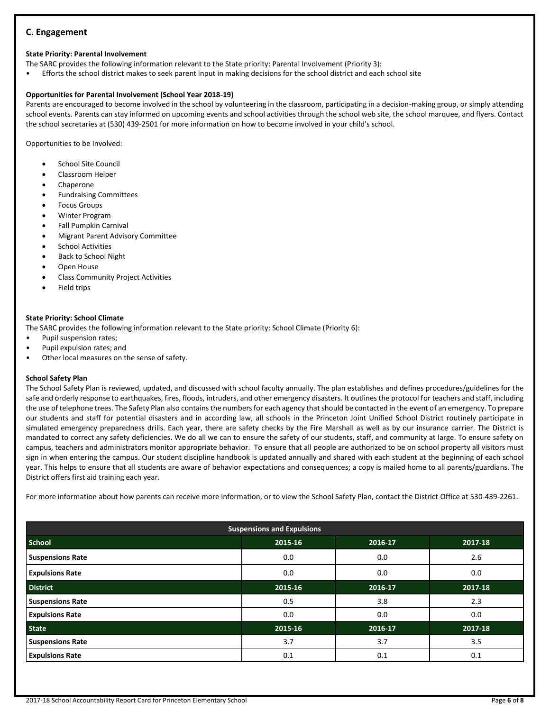## **C. Engagement**

## **State Priority: Parental Involvement**

The SARC provides the following information relevant to the State priority: Parental Involvement (Priority 3):

• Efforts the school district makes to seek parent input in making decisions for the school district and each school site

# **Opportunities for Parental Involvement (School Year 2018-19)**

Parents are encouraged to become involved in the school by volunteering in the classroom, participating in a decision-making group, or simply attending school events. Parents can stay informed on upcoming events and school activities through the school web site, the school marquee, and flyers. Contact the school secretaries at (530) 439-2501 for more information on how to become involved in your child's school.

Opportunities to be Involved:

- School Site Council
- Classroom Helper
- Chaperone
- Fundraising Committees
- Focus Groups
- Winter Program
- Fall Pumpkin Carnival
- Migrant Parent Advisory Committee
- School Activities
- Back to School Night
- Open House
- Class Community Project Activities
- Field trips

# **State Priority: School Climate**

The SARC provides the following information relevant to the State priority: School Climate (Priority 6):

- Pupil suspension rates;
- Pupil expulsion rates; and
- Other local measures on the sense of safety.

# **School Safety Plan**

The School Safety Plan is reviewed, updated, and discussed with school faculty annually. The plan establishes and defines procedures/guidelines for the safe and orderly response to earthquakes, fires, floods, intruders, and other emergency disasters. It outlines the protocol for teachers and staff, including the use of telephone trees. The Safety Plan also contains the numbers for each agency that should be contacted in the event of an emergency. To prepare our students and staff for potential disasters and in according law, all schools in the Princeton Joint Unified School District routinely participate in simulated emergency preparedness drills. Each year, there are safety checks by the Fire Marshall as well as by our insurance carrier. The District is mandated to correct any safety deficiencies. We do all we can to ensure the safety of our students, staff, and community at large. To ensure safety on campus, teachers and administrators monitor appropriate behavior. To ensure that all people are authorized to be on school property all visitors must sign in when entering the campus. Our student discipline handbook is updated annually and shared with each student at the beginning of each school year. This helps to ensure that all students are aware of behavior expectations and consequences; a copy is mailed home to all parents/guardians. The District offers first aid training each year.

For more information about how parents can receive more information, or to view the School Safety Plan, contact the District Office at 530-439-2261.

| <b>Suspensions and Expulsions</b> |         |         |         |  |  |  |
|-----------------------------------|---------|---------|---------|--|--|--|
| <b>School</b>                     | 2015-16 | 2016-17 | 2017-18 |  |  |  |
| <b>Suspensions Rate</b>           | 0.0     | 0.0     | 2.6     |  |  |  |
| <b>Expulsions Rate</b>            | 0.0     | 0.0     | 0.0     |  |  |  |
| <b>District</b>                   | 2015-16 | 2016-17 | 2017-18 |  |  |  |
| <b>Suspensions Rate</b>           | 0.5     | 3.8     | 2.3     |  |  |  |
| <b>Expulsions Rate</b>            | 0.0     | 0.0     | 0.0     |  |  |  |
| <b>State</b>                      | 2015-16 | 2016-17 | 2017-18 |  |  |  |
| <b>Suspensions Rate</b>           | 3.7     | 3.7     | 3.5     |  |  |  |
| <b>Expulsions Rate</b>            | 0.1     | 0.1     | 0.1     |  |  |  |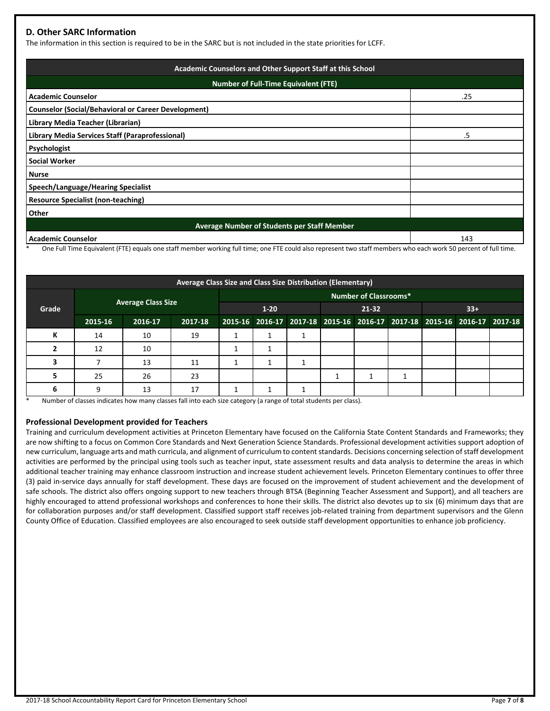# **D. Other SARC Information**

The information in this section is required to be in the SARC but is not included in the state priorities for LCFF.

| Academic Counselors and Other Support Staff at this School |     |  |  |  |  |  |
|------------------------------------------------------------|-----|--|--|--|--|--|
| <b>Number of Full-Time Equivalent (FTE)</b>                |     |  |  |  |  |  |
| <b>Academic Counselor</b><br>.25                           |     |  |  |  |  |  |
| <b>Counselor (Social/Behavioral or Career Development)</b> |     |  |  |  |  |  |
| Library Media Teacher (Librarian)                          |     |  |  |  |  |  |
| Library Media Services Staff (Paraprofessional)            | .5  |  |  |  |  |  |
| Psychologist                                               |     |  |  |  |  |  |
| <b>Social Worker</b>                                       |     |  |  |  |  |  |
| <b>Nurse</b>                                               |     |  |  |  |  |  |
| <b>Speech/Language/Hearing Specialist</b>                  |     |  |  |  |  |  |
| <b>Resource Specialist (non-teaching)</b>                  |     |  |  |  |  |  |
| Other                                                      |     |  |  |  |  |  |
| Average Number of Students per Staff Member                |     |  |  |  |  |  |
| <b>Academic Counselor</b>                                  | 143 |  |  |  |  |  |

One Full Time Equivalent (FTE) equals one staff member working full time; one FTE could also represent two staff members who each work 50 percent of full time.

| Average Class Size and Class Size Distribution (Elementary) |                           |         |          |                              |       |  |  |       |  |  |                                                                         |  |
|-------------------------------------------------------------|---------------------------|---------|----------|------------------------------|-------|--|--|-------|--|--|-------------------------------------------------------------------------|--|
|                                                             |                           |         |          | <b>Number of Classrooms*</b> |       |  |  |       |  |  |                                                                         |  |
| Grade                                                       | <b>Average Class Size</b> |         | $1 - 20$ |                              | 21-32 |  |  | $33+$ |  |  |                                                                         |  |
|                                                             | 2015-16                   | 2016-17 | 2017-18  |                              |       |  |  |       |  |  | 2015-16 2016-17 2017-18 2015-16 2016-17 2017-18 2015-16 2016-17 2017-18 |  |
| К                                                           | 14                        | 10      | 19       |                              |       |  |  |       |  |  |                                                                         |  |
|                                                             | 12                        | 10      |          |                              |       |  |  |       |  |  |                                                                         |  |
|                                                             |                           | 13      | 11       |                              |       |  |  |       |  |  |                                                                         |  |
|                                                             | 25                        | 26      | 23       |                              |       |  |  |       |  |  |                                                                         |  |
| 6                                                           | q                         | 13      | 17       |                              |       |  |  |       |  |  |                                                                         |  |

Number of classes indicates how many classes fall into each size category (a range of total students per class).

#### **Professional Development provided for Teachers**

Training and curriculum development activities at Princeton Elementary have focused on the California State Content Standards and Frameworks; they are now shifting to a focus on Common Core Standards and Next Generation Science Standards. Professional development activities support adoption of new curriculum, language arts and math curricula, and alignment of curriculum to content standards. Decisions concerning selection of staff development activities are performed by the principal using tools such as teacher input, state assessment results and data analysis to determine the areas in which additional teacher training may enhance classroom instruction and increase student achievement levels. Princeton Elementary continues to offer three (3) paid in-service days annually for staff development. These days are focused on the improvement of student achievement and the development of safe schools. The district also offers ongoing support to new teachers through BTSA (Beginning Teacher Assessment and Support), and all teachers are highly encouraged to attend professional workshops and conferences to hone their skills. The district also devotes up to six (6) minimum days that are for collaboration purposes and/or staff development. Classified support staff receives job-related training from department supervisors and the Glenn County Office of Education. Classified employees are also encouraged to seek outside staff development opportunities to enhance job proficiency.